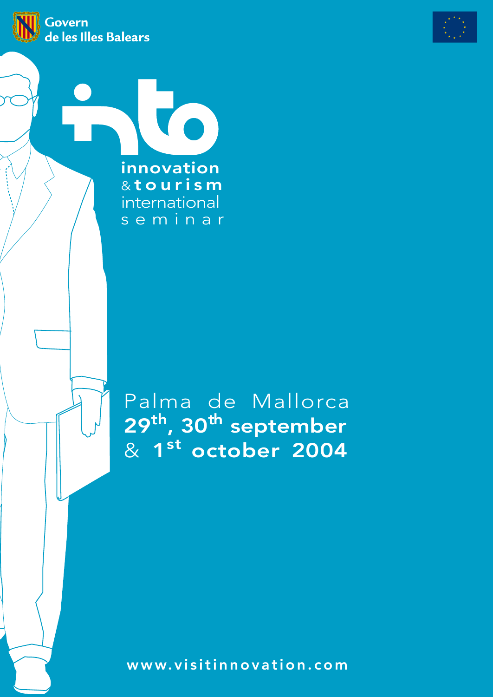



innovation & tourism international seminar

Palma de Mallorca 29<sup>th</sup>, 30<sup>th</sup> september & 1 st october 2004

www.visitinnovation.com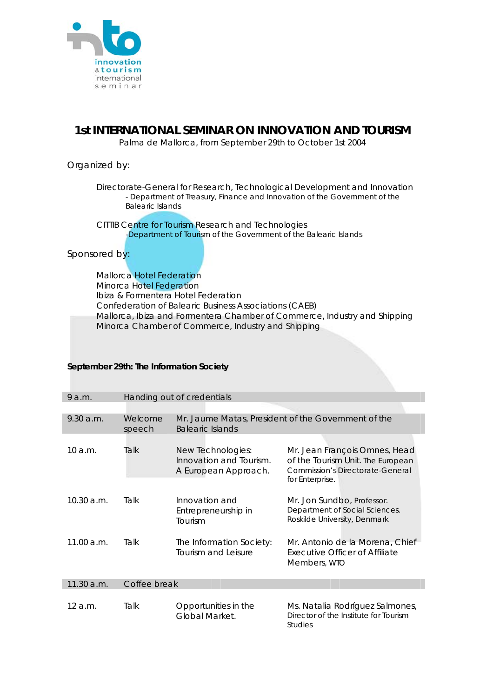

## **1st INTERNATIONAL SEMINAR ON INNOVATION AND TOURISM**

Palma de Mallorca, from September 29th to October 1st 2004

### Organized by:

 Directorate-General for Research, Technological Development and Innovation - Department of Treasury, Finance and Innovation of the Government of the Balearic Islands

 CITTIB Centre for Tourism Research and Technologies -Department of Tourism of the Government of the Balearic Islands

Sponsored by:

Mallorca Hotel Federation Minorca Hotel Federation Ibiza & Formentera Hotel Federation Confederation of Balearic Business Associations (CAEB) Mallorca, Ibiza and Formentera Chamber of Commerce, Industry and Shipping Minorca Chamber of Commerce, Industry and Shipping

#### **September 29th: The Information Society**

| 9 a.m.     | Handing out of credentials |                                                                                |                                                                                                                           |  |  |  |
|------------|----------------------------|--------------------------------------------------------------------------------|---------------------------------------------------------------------------------------------------------------------------|--|--|--|
|            |                            |                                                                                |                                                                                                                           |  |  |  |
| 9.30 a.m.  | Welcome<br>speech          | Mr. Jaume Matas, President of the Government of the<br><b>Balearic Islands</b> |                                                                                                                           |  |  |  |
|            |                            |                                                                                |                                                                                                                           |  |  |  |
| 10 a.m.    | Talk                       | New Technologies:<br>Innovation and Tourism.<br>A European Approach.           | Mr. Jean François Omnes, Head<br>of the Tourism Unit. The European<br>Commission's Directorate-General<br>for Enterprise. |  |  |  |
| 10.30 a.m. | Talk                       | Innovation and<br>Entrepreneurship in<br>Tourism                               | Mr. Jon Sundbo, Professor.<br>Department of Social Sciences.<br>Roskilde University, Denmark                              |  |  |  |
| 11.00 a.m. | Talk                       | The Information Society:<br>Tourism and Leisure                                | Mr. Antonio de la Morena, Chief<br><b>Executive Officer of Affiliate</b><br>Members, WTO                                  |  |  |  |
| 11.30 a.m. | Coffee break               |                                                                                |                                                                                                                           |  |  |  |
|            |                            |                                                                                |                                                                                                                           |  |  |  |
| 12 a.m.    | Talk                       | Opportunities in the<br>Global Market.                                         | Ms. Natalia Rodríguez Salmones,<br>Director of the Institute for Tourism<br><b>Studies</b>                                |  |  |  |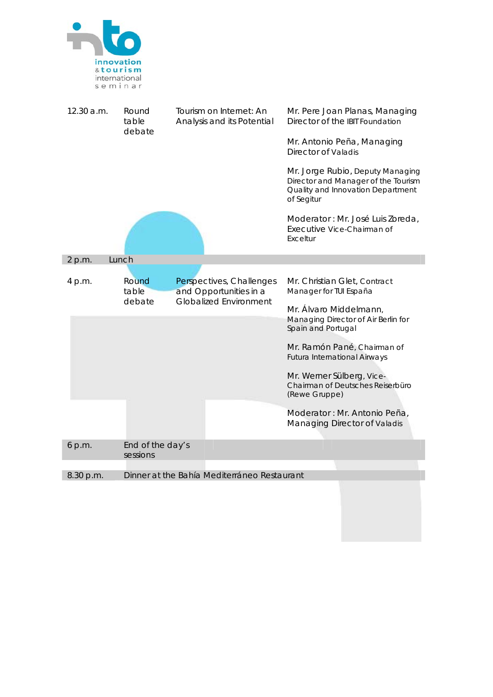

| 12.30 a.m. | Round<br>table<br>debate                                             | Tourism on Internet: An<br>Analysis and its Potential |                                                                                     | Mr. Pere Joan Planas, Managing<br>Director of the IBIT Foundation                                                          |  |
|------------|----------------------------------------------------------------------|-------------------------------------------------------|-------------------------------------------------------------------------------------|----------------------------------------------------------------------------------------------------------------------------|--|
|            |                                                                      |                                                       | Mr. Antonio Peña, Managing<br><b>Director of Valadis</b>                            |                                                                                                                            |  |
|            |                                                                      |                                                       |                                                                                     | Mr. Jorge Rubio, Deputy Managing<br>Director and Manager of the Tourism<br>Quality and Innovation Department<br>of Segitur |  |
|            |                                                                      |                                                       |                                                                                     | Moderator : Mr. José Luis Zoreda,<br>Executive Vice-Chairman of<br>Exceltur                                                |  |
| 2 p.m.     | Lunch                                                                |                                                       |                                                                                     |                                                                                                                            |  |
| 4 p.m.     | Round<br>Perspectives, Challenges<br>and Opportunities in a<br>table |                                                       |                                                                                     | Mr. Christian Glet, Contract<br>Manager for TUI España                                                                     |  |
|            | <b>Globalized Environment</b><br>debate                              |                                                       | Mr. Álvaro Middelmann,<br>Managing Director of Air Berlin for<br>Spain and Portugal |                                                                                                                            |  |
|            |                                                                      |                                                       |                                                                                     | Mr. Ramón Pané, Chairman of<br><b>Futura International Airways</b>                                                         |  |
|            |                                                                      |                                                       |                                                                                     | Mr. Werner Sülberg, Vice-<br>Chairman of Deutsches Reiserbüro<br>(Rewe Gruppe)                                             |  |
|            |                                                                      |                                                       |                                                                                     | Moderator : Mr. Antonio Peña,<br>Managing Director of Valadis                                                              |  |
| 6 p.m.     | End of the day's<br>sessions                                         |                                                       |                                                                                     |                                                                                                                            |  |
| 8.30 p.m.  |                                                                      |                                                       | Dinner at the Bahía Mediterráneo Restaurant                                         |                                                                                                                            |  |
|            |                                                                      |                                                       |                                                                                     |                                                                                                                            |  |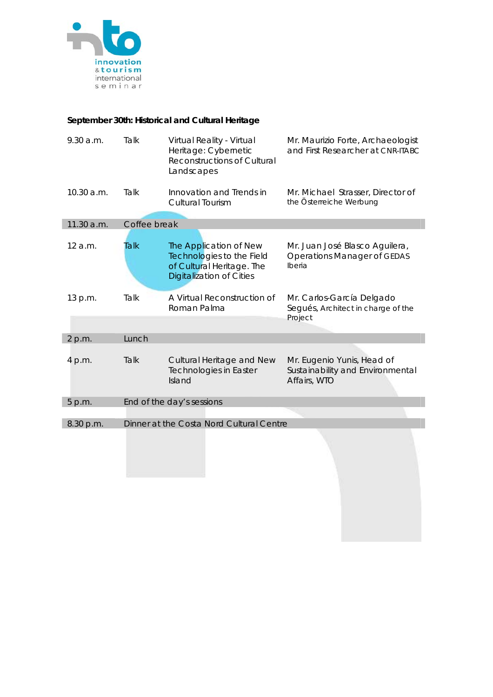

# **September 30th: Historical and Cultural Heritage**

| 9.30 a.m.  | Talk  | Virtual Reality - Virtual<br>Heritage: Cybernetic<br><b>Reconstructions of Cultural</b><br>Landscapes        | Mr. Maurizio Forte, Archaeologist<br>and First Researcher at CNR-ITABC         |  |  |  |
|------------|-------|--------------------------------------------------------------------------------------------------------------|--------------------------------------------------------------------------------|--|--|--|
| 10.30 a.m. | Talk  | Innovation and Trends in<br><b>Cultural Tourism</b>                                                          | Mr. Michael Strasser, Director of<br>the Österreiche Werbung                   |  |  |  |
| 11.30 a.m. |       | Coffee break                                                                                                 |                                                                                |  |  |  |
| 12a.m.     | Talk  | The Application of New<br>Technologies to the Field<br>of Cultural Heritage. The<br>Digitalization of Cities | Mr. Juan José Blasco Aguilera,<br><b>Operations Manager of GEDAS</b><br>Iberia |  |  |  |
| 13 p.m.    | Talk  | A Virtual Reconstruction of<br>Roman Palma                                                                   | Mr. Carlos-García Delgado<br>Segués, Architect in charge of the<br>Project     |  |  |  |
| 2 p.m.     | Lunch |                                                                                                              |                                                                                |  |  |  |
| 4 p.m.     | Talk  | Cultural Heritage and New<br><b>Technologies in Easter</b><br>Island                                         | Mr. Eugenio Yunis, Head of<br>Sustainability and Environmental<br>Affairs, WTO |  |  |  |
| 5 p.m.     |       | End of the day's sessions                                                                                    |                                                                                |  |  |  |
|            |       |                                                                                                              |                                                                                |  |  |  |
| 8.30 p.m.  |       | Dinner at the Costa Nord Cultural Centre                                                                     |                                                                                |  |  |  |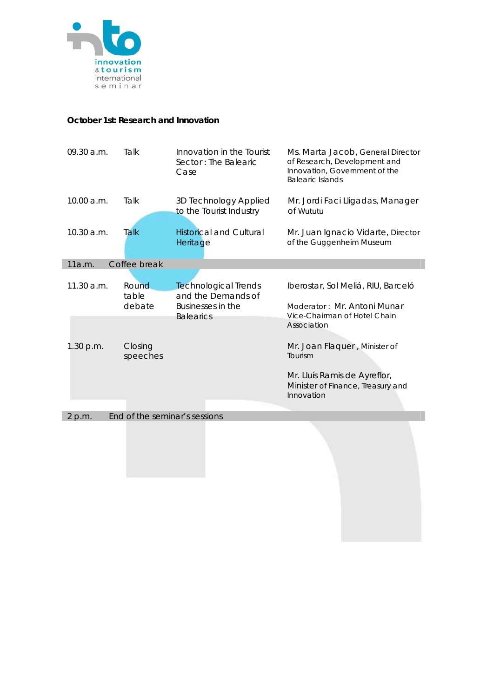

#### **October 1st: Research and Innovation**

| 09.30 a.m.                              | Talk                | Innovation in the Tourist<br>Sector: The Balearic<br>Case | Ms. Marta Jacob, General Director<br>of Research, Development and<br>Innovation, Government of the<br><b>Balearic Islands</b> |  |  |
|-----------------------------------------|---------------------|-----------------------------------------------------------|-------------------------------------------------------------------------------------------------------------------------------|--|--|
| 10.00 a.m.                              | Talk                | 3D Technology Applied<br>to the Tourist Industry          | Mr. Jordi Faci Lligadas, Manager<br>of Wututu                                                                                 |  |  |
| 10.30 a.m.                              | Talk                | <b>Historical and Cultural</b><br>Heritage                | Mr. Juan Ignacio Vidarte, Director<br>of the Guggenheim Museum                                                                |  |  |
| 11a.m.                                  | Coffee break        |                                                           |                                                                                                                               |  |  |
|                                         |                     |                                                           |                                                                                                                               |  |  |
| 11.30 a.m.                              | <b>Round</b>        | <b>Technological Trends</b>                               | Iberostar, Sol Meliá, RIU, Barceló                                                                                            |  |  |
|                                         | table<br>debate     | and the Demands of<br>Businesses in the                   | Moderator: Mr. Antoni Munar                                                                                                   |  |  |
|                                         |                     | <b>Balearics</b>                                          | Vice-Chairman of Hotel Chain<br>Association                                                                                   |  |  |
| 1.30 p.m.                               | Closing<br>speeches |                                                           | Mr. Joan Flaquer, Minister of<br>Tourism                                                                                      |  |  |
|                                         |                     |                                                           | Mr. Lluís Ramis de Ayreflor,<br>Minister of Finance, Treasury and<br>Innovation                                               |  |  |
| End of the seminar's sessions<br>2 p.m. |                     |                                                           |                                                                                                                               |  |  |
|                                         |                     |                                                           |                                                                                                                               |  |  |